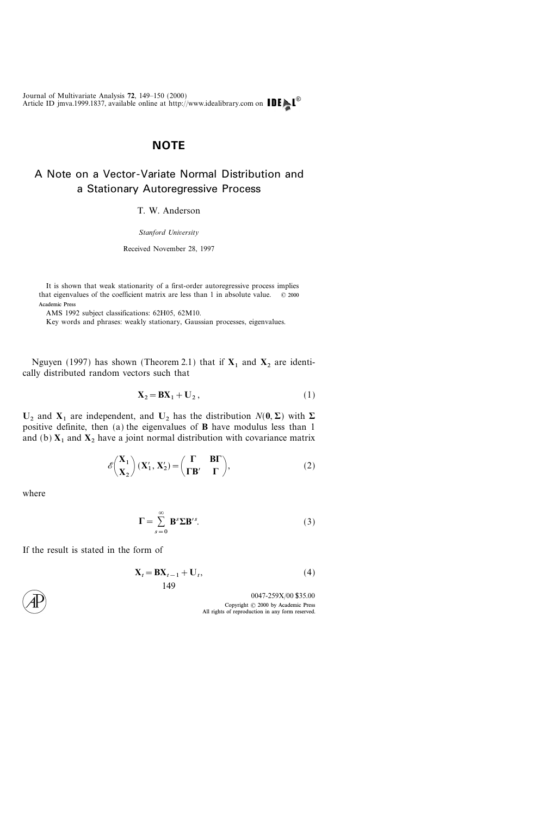## **NOTE**

## A Note on a Vector-Variate Normal Distribution and a Stationary Autoregressive Process

T. W. Anderson

Stanford University

Received November 28, 1997

It is shown that weak stationarity of a first-order autoregressive process implies that eigenvalues of the coefficient matrix are less than 1 in absolute value.  $\circ$  2000 Academic Press

AMS 1992 subject classifications: 62H05, 62M10.

Key words and phrases: weakly stationary, Gaussian processes, eigenvalues.

Nguyen (1997) has shown (Theorem 2.1) that if  $X_1$  and  $X_2$  are identically distributed random vectors such that

$$
\mathbf{X}_2 = \mathbf{B}\mathbf{X}_1 + \mathbf{U}_2, \tag{1}
$$

U<sub>2</sub> and  $X_1$  are independent, and U<sub>2</sub> has the distribution  $N(0, \Sigma)$  with  $\Sigma$ positive definite, then (a) the eigenvalues of B have modulus less than 1 and (b)  $X_1$  and  $X_2$  have a joint normal distribution with covariance matrix

$$
\mathscr{E}\left(\frac{\mathbf{X}_1}{\mathbf{X}_2}\right)(\mathbf{X}_1', \mathbf{X}_2') = \left(\frac{\boldsymbol{\Gamma}}{\boldsymbol{\Gamma}\mathbf{B}'} & \mathbf{B}\boldsymbol{\Gamma}\right),\tag{2}
$$

where

$$
\Gamma = \sum_{s=0}^{\infty} \mathbf{B}^s \Sigma \mathbf{B}^s.
$$
 (3)

If the result is stated in the form of

$$
\mathbf{X}_{t} = \mathbf{B}\mathbf{X}_{t-1} + \mathbf{U}_{t},\tag{4}
$$

0047-259X/00 \$35.00

Copyright  $\odot$  2000 by Academic Press All rights of reproduction in any form reserved.